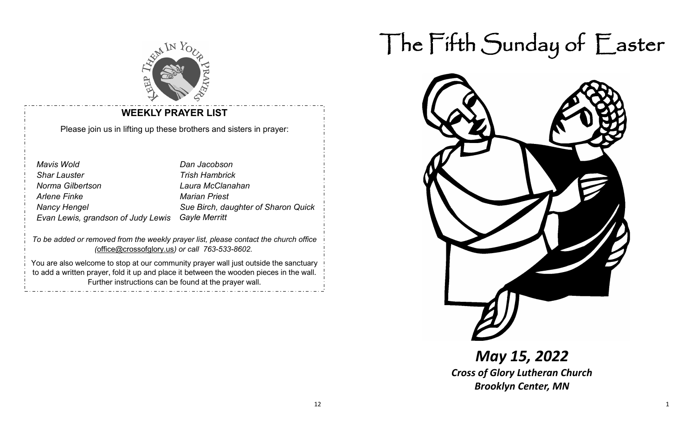

#### **WEEKLY PRAYER LIST**

Please join us in lifting up these brothers and sisters in prayer:

| <b>Mavis Wold</b>                  | Dan Jacobson                        |
|------------------------------------|-------------------------------------|
| <b>Shar Lauster</b>                | <b>Trish Hambrick</b>               |
| Norma Gilbertson                   | Laura McClanahan                    |
| <b>Arlene Finke</b>                | <b>Marian Priest</b>                |
| <b>Nancy Hengel</b>                | Sue Birch, daughter of Sharon Quick |
| Evan Lewis, grandson of Judy Lewis | <b>Gayle Merritt</b>                |

*To be added or removed from the weekly prayer list, please contact the church office (*[office@crossofglory.us](mailto:office@crossofglory.us)*) or call 763-533-8602.*

You are also welcome to stop at our community prayer wall just outside the sanctuary to add a written prayer, fold it up and place it between the wooden pieces in the wall. Further instructions can be found at the prayer wall.

# The Fifth Sunday of Easter



*May 15, 2022 Cross of Glory Lutheran Church Brooklyn Center, MN*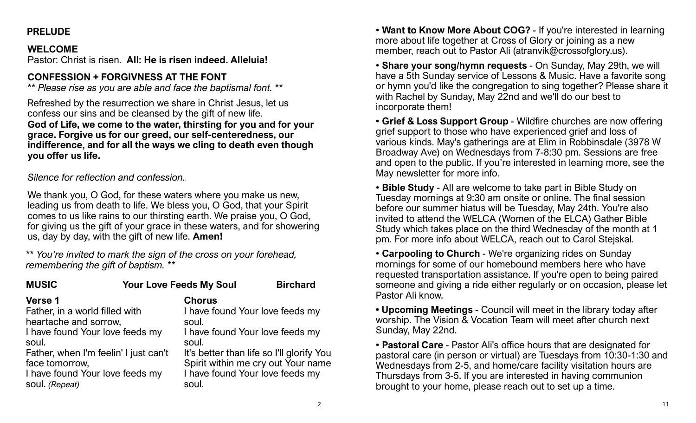### **PRELUDE**

#### **WELCOME**

Pastor: Christ is risen. **All: He is risen indeed. Alleluia!**

### **CONFESSION + FORGIVNESS AT THE FONT**

*\*\* Please rise as you are able and face the baptismal font. \*\**

Refreshed by the resurrection we share in Christ Jesus, let us confess our sins and be cleansed by the gift of new life. **God of Life, we come to the water, thirsting for you and for your grace. Forgive us for our greed, our self-centeredness, our indifference, and for all the ways we cling to death even though you offer us life.**

#### *Silence for reflection and confession..*

We thank you, O God, for these waters where you make us new, leading us from death to life. We bless you, O God, that your Spirit comes to us like rains to our thirsting earth. We praise you, O God, for giving us the gift of your grace in these waters, and for showering us, day by day, with the gift of new life. **Amen!**

*\*\* You're invited to mark the sign of the cross on your forehead, remembering the gift of baptism. \*\**

| <b>MUSIC</b>                                                                                                                                                                                                                          | <b>Your Love Feeds My Soul</b> |                                                                                                                                                   | <b>Birchard</b>                                                                 |  |
|---------------------------------------------------------------------------------------------------------------------------------------------------------------------------------------------------------------------------------------|--------------------------------|---------------------------------------------------------------------------------------------------------------------------------------------------|---------------------------------------------------------------------------------|--|
| <b>Verse 1</b><br>Father, in a world filled with<br>heartache and sorrow,<br>I have found Your love feeds my<br>soul.<br>Father, when I'm feelin' I just can't<br>face tomorrow,<br>I have found Your love feeds my<br>soul. (Repeat) |                                | <b>Chorus</b><br>I have found Your love feeds my<br>soul.<br>I have found Your love feeds my<br>soul.<br>I have found Your love feeds my<br>soul. | It's better than life so I'll glorify You<br>Spirit within me cry out Your name |  |
|                                                                                                                                                                                                                                       |                                |                                                                                                                                                   |                                                                                 |  |

• **Want to Know More About COG?** - If you're interested in learning more about life together at Cross of Glory or joining as a new member, reach out to Pastor Ali (atranvik@crossofglory.us).

• **Share your song/hymn requests** - On Sunday, May 29th, we will have a 5th Sunday service of Lessons & Music. Have a favorite song or hymn you'd like the congregation to sing together? Please share it with Rachel by Sunday, May 22nd and we'll do our best to incorporate them!

• **Grief & Loss Support Group** - Wildfire churches are now offering grief support to those who have experienced grief and loss of various kinds. May's gatherings are at Elim in Robbinsdale (3978 W Broadway Ave) on Wednesdays from 7-8:30 pm. Sessions are free and open to the public. If you're interested in learning more, see the May newsletter for more info.

• **Bible Study** - All are welcome to take part in Bible Study on Tuesday mornings at 9:30 am onsite or online. The final session before our summer hiatus will be Tuesday, May 24th. You're also invited to attend the WELCA (Women of the ELCA) Gather Bible Study which takes place on the third Wednesday of the month at 1 pm. For more info about WELCA, reach out to Carol Stejskal.

• **Carpooling to Church** - We're organizing rides on Sunday mornings for some of our homebound members here who have requested transportation assistance. If you're open to being paired someone and giving a ride either regularly or on occasion, please let Pastor Ali know.

**• Upcoming Meetings** - Council will meet in the library today after worship. The Vision & Vocation Team will meet after church next Sunday, May 22nd.

• **Pastoral Care** - Pastor Ali's office hours that are designated for pastoral care (in person or virtual) are Tuesdays from 10:30-1:30 and Wednesdays from 2-5, and home/care facility visitation hours are Thursdays from 3-5. If you are interested in having communion brought to your home, please reach out to set up a time.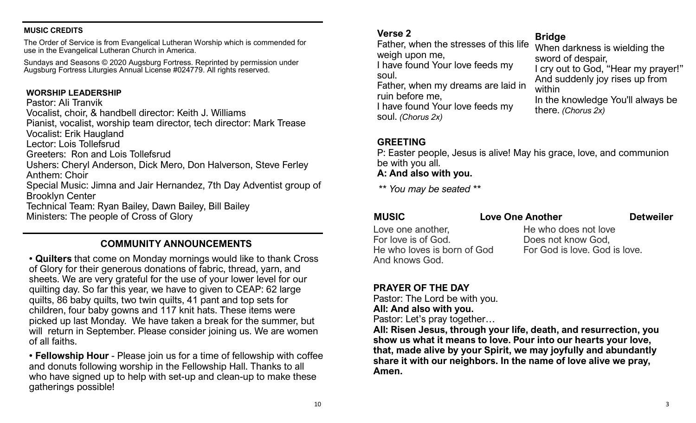#### **MUSIC CREDITS**

The Order of Service is from Evangelical Lutheran Worship which is commended for use in the Evangelical Lutheran Church in America.

Sundays and Seasons © 2020 Augsburg Fortress. Reprinted by permission under Augsburg Fortress Liturgies Annual License #024779. All rights reserved.

#### **WORSHIP LEADERSHIP**

#### Pastor: Ali Tranvik

Vocalist, choir, & handbell director: Keith J. Williams

Pianist, vocalist, worship team director, tech director: Mark Trease

Vocalist: Erik Haugland

Lector: Lois Tollefsrud

Greeters: Ron and Lois Tollefsrud

Ushers: Cheryl Anderson, Dick Mero, Don Halverson, Steve Ferley Anthem: Choir

Special Music: Jimna and Jair Hernandez, 7th Day Adventist group of Brooklyn Center

Technical Team: Ryan Bailey, Dawn Bailey, Bill Bailey

Ministers: The people of Cross of Glory

#### **COMMUNITY ANNOUNCEMENTS**

• **Quilters** that come on Monday mornings would like to thank Cross of Glory for their generous donations of fabric, thread, yarn, and sheets. We are very grateful for the use of your lower level for our quilting day. So far this year, we have to given to CEAP: 62 large quilts, 86 baby quilts, two twin quilts, 41 pant and top sets for children, four baby gowns and 117 knit hats. These items were picked up last Monday. We have taken a break for the summer, but will return in September. Please consider joining us. We are women of all faiths.

• **Fellowship Hour** - Please join us for a time of fellowship with coffee and donuts following worship in the Fellowship Hall. Thanks to all who have signed up to help with set-up and clean-up to make these gatherings possible!

#### **Verse 2**

Father, when the stresses of this life weigh upon me, I have found Your love feeds my soul. Father, when my dreams are laid in ruin before me, I have found Your love feeds my soul. *(Chorus 2x)*

#### **Bridge**

When darkness is wielding the sword of despair, I cry out to God, "Hear my prayer!" And suddenly joy rises up from within In the knowledge You'll always be there. *(Chorus 2x)*

#### **GREETING**

P: Easter people, Jesus is alive! May his grace, love, and communion be with you all.

#### **A: And also with you.**

*\*\* You may be seated \*\**

#### **MUSIC** Love One Another Detweiler

Love one another, For love is of God. He who loves is born of God And knows God.

He who does not love Does not know God, For God is love. God is love.

## **PRAYER OF THE DAY**

Pastor: The Lord be with you. **All: And also with you.** Pastor: Let's pray together…

**All: Risen Jesus, through your life, death, and resurrection, you show us what it means to love. Pour into our hearts your love, that, made alive by your Spirit, we may joyfully and abundantly share it with our neighbors. In the name of love alive we pray, Amen.**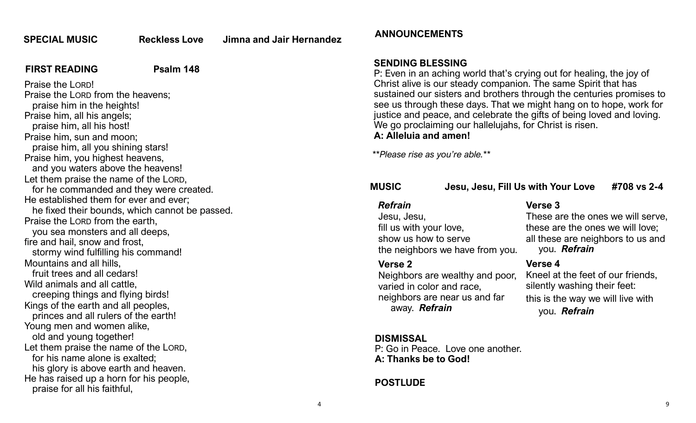**SPECIAL MUSIC Reckless Love Jimna and Jair Hernandez**

#### **FIRST READING** Psalm 148

Praise the LORD! Praise the LORD from the heavens; praise him in the heights! Praise him, all his angels; praise him, all his host! Praise him, sun and moon; praise him, all you shining stars! Praise him, you highest heavens, and you waters above the heavens! Let them praise the name of the LORD, for he commanded and they were created. He established them for ever and ever; he fixed their bounds, which cannot be passed. Praise the LORD from the earth, you sea monsters and all deeps, fire and hail, snow and frost, stormy wind fulfilling his command! Mountains and all hills, fruit trees and all cedars! Wild animals and all cattle, creeping things and flying birds! Kings of the earth and all peoples, princes and all rulers of the earth! Young men and women alike, old and young together! Let them praise the name of the LORD, for his name alone is exalted; his glory is above earth and heaven. He has raised up a horn for his people, praise for all his faithful,

#### **ANNOUNCEMENTS**

#### **SENDING BLESSING**

P: Even in an aching world that's crying out for healing, the joy of Christ alive is our steady companion. The same Spirit that has sustained our sisters and brothers through the centuries promises to see us through these days. That we might hang on to hope, work for justice and peace, and celebrate the gifts of being loved and loving. We go proclaiming our hallelujahs, for Christ is risen. **A: Alleluia and amen!**

*\*\*Please rise as you're able.\*\**

| <b>MUSIC</b>   | Jesu, Jesu, Fill Us with Your Love | #708 vs 2-4 |
|----------------|------------------------------------|-------------|
| <b>Refrain</b> | <b>Verse 3</b>                     |             |
| Jesu, Jesu,    | These are the ones we will serve.  |             |

Jesu, Jesu, fill us with your love, show us how to serve the neighbors we have from you.

#### **Verse 2**

Neighbors are wealthy and poor, varied in color and race, neighbors are near us and far away. *Refrain*

### **DISMISSAL**

P: Go in Peace. Love one another. **A: Thanks be to God!**

#### **POSTLUDE**

you. *Refrain* **Verse 4** Kneel at the feet of our friends, silently washing their feet: this is the way we will live with you. *Refrain*

these are the ones we will love; all these are neighbors to us and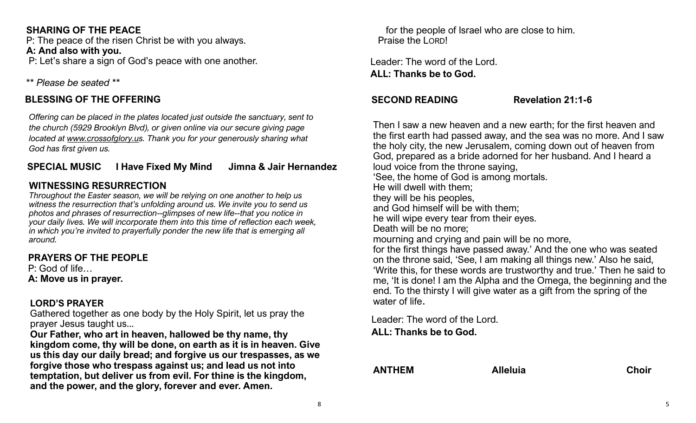#### **SHARING OF THE PEACE**

P: The peace of the risen Christ be with you always. **A: And also with you.** P: Let's share a sign of God's peace with one another.

*\*\* Please be seated \*\**

#### **BLESSING OF THE OFFERING**

*Offering can be placed in the plates located just outside the sanctuary, sent to the church (5929 Brooklyn Blvd), or given online via our secure giving page located at [www.crossofglory.us](http://www.crossofglory.us). Thank you for your generously sharing what God has first given us.*

#### **SPECIAL MUSIC I Have Fixed My Mind Jimna & Jair Hernandez**

### **WITNESSING RESURRECTION**

*Throughout the Easter season, we will be relying on one another to help us witness the resurrection that's unfolding around us. We invite you to send us photos and phrases of resurrection--glimpses of new life--that you notice in your daily lives. We will incorporate them into this time of reflection each week, in which you're invited to prayerfully ponder the new life that is emerging all around.*

### **PRAYERS OF THE PEOPLE**

P: God of life… **A: Move us in prayer.**

#### **LORD'S PRAYER**

Gathered together as one body by the Holy Spirit, let us pray the prayer Jesus taught us...

**Our Father, who art in heaven, hallowed be thy name, thy kingdom come, thy will be done, on earth as it is in heaven. Give us this day our daily bread; and forgive us our trespasses, as we forgive those who trespass against us; and lead us not into temptation, but deliver us from evil. For thine is the kingdom, and the power, and the glory, forever and ever. Amen.** 

 for the people of Israel who are close to him. Praise the LORD!

Leader: The word of the Lord. **ALL: Thanks be to God.**

#### **SECOND READING Revelation 21:1-6**

Then I saw a new heaven and a new earth; for the first heaven and the first earth had passed away, and the sea was no more. And I saw the holy city, the new Jerusalem, coming down out of heaven from God, prepared as a bride adorned for her husband. And I heard a loud voice from the throne saying, 'See, the home of God is among mortals. He will dwell with them; they will be his peoples, and God himself will be with them; he will wipe every tear from their eyes. Death will be no more; mourning and crying and pain will be no more, for the first things have passed away.' And the one who was seated on the throne said, 'See, I am making all things new.' Also he said, 'Write this, for these words are trustworthy and true.' Then he said to me, 'It is done! I am the Alpha and the Omega, the beginning and the end. To the thirsty I will give water as a gift from the spring of the water of life.

Leader: The word of the Lord. **ALL: Thanks be to God.**

**ANTHEM Alleluia Choir**